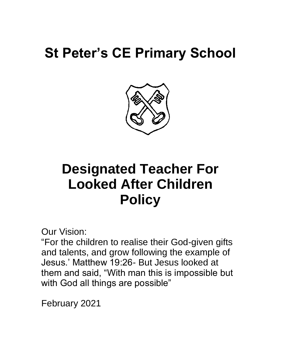# **St Peter's CE Primary School**



# **Designated Teacher For Looked After Children Policy**

Our Vision:

"For the children to realise their God-given gifts and talents, and grow following the example of Jesus.' Matthew 19:26- But Jesus looked at them and said, "With man this is impossible but with God all things are possible"

February 2021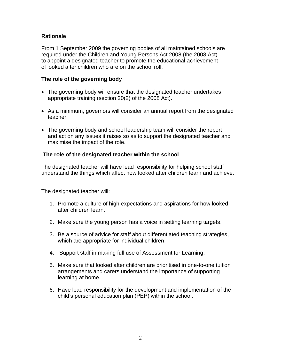### **Rationale**

From 1 September 2009 the governing bodies of all maintained schools are required under the Children and Young Persons Act 2008 (the 2008 Act) to appoint a designated teacher to promote the educational achievement of looked after children who are on the school roll.

#### **The role of the governing body**

- The governing body will ensure that the designated teacher undertakes appropriate training (section 20(2) of the 2008 Act).
- As a minimum, governors will consider an annual report from the designated teacher.
- The governing body and school leadership team will consider the report and act on any issues it raises so as to support the designated teacher and maximise the impact of the role.

### **The role of the designated teacher within the school**

The designated teacher will have lead responsibility for helping school staff understand the things which affect how looked after children learn and achieve.

The designated teacher will:

- 1. Promote a culture of high expectations and aspirations for how looked after children learn.
- 2. Make sure the young person has a voice in setting learning targets.
- 3. Be a source of advice for staff about differentiated teaching strategies, which are appropriate for individual children.
- 4. Support staff in making full use of Assessment for Learning.
- 5. Make sure that looked after children are prioritised in one-to-one tuition arrangements and carers understand the importance of supporting learning at home.
- 6. Have lead responsibility for the development and implementation of the child's personal education plan (PEP) within the school.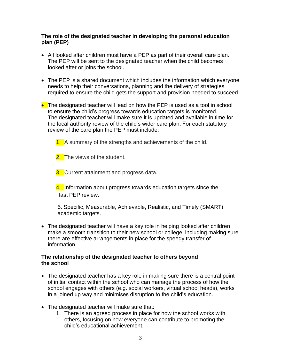#### **The role of the designated teacher in developing the personal education plan (PEP)**

- All looked after children must have a PEP as part of their overall care plan. The PEP will be sent to the designated teacher when the child becomes looked after or joins the school.
- The PEP is a shared document which includes the information which everyone needs to help their conversations, planning and the delivery of strategies required to ensure the child gets the support and provision needed to succeed.
- The designated teacher will lead on how the PEP is used as a tool in school to ensure the child's progress towards education targets is monitored. The designated teacher will make sure it is updated and available in time for the local authority review of the child's wider care plan. For each statutory review of the care plan the PEP must include:

1. A summary of the strengths and achievements of the child.

2. The views of the student.

**3.** Current attainment and progress data.

4. Information about progress towards education targets since the last PEP review.

5. Specific, Measurable, Achievable, Realistic, and Timely (SMART) academic targets.

• The designated teacher will have a key role in helping looked after children make a smooth transition to their new school or college, including making sure there are effective arrangements in place for the speedy transfer of information.

#### **The relationship of the designated teacher to others beyond the school**

- The designated teacher has a key role in making sure there is a central point of initial contact within the school who can manage the process of how the school engages with others (e.g. social workers, virtual school heads), works in a joined up way and minimises disruption to the child's education.
- The designated teacher will make sure that:
	- 1. There is an agreed process in place for how the school works with others, focusing on how everyone can contribute to promoting the child's educational achievement.